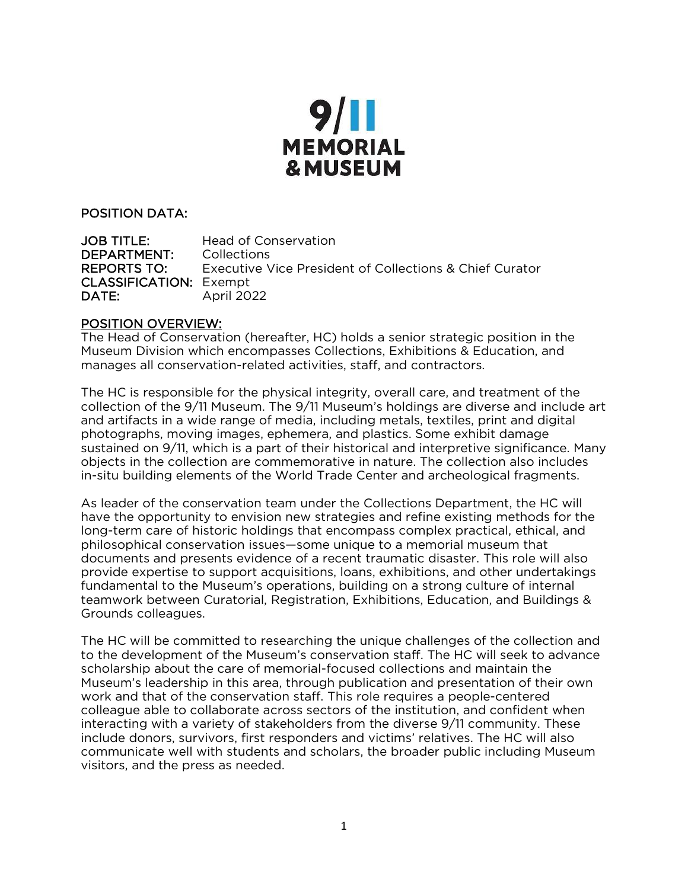

#### POSITION DATA:

JOB TITLE: Head of Conservation DEPARTMENT: Collections REPORTS TO: Executive Vice President of Collections & Chief Curator CLASSIFICATION: Exempt<br>DATE: April 20 April 2022

#### POSITION OVERVIEW:

The Head of Conservation (hereafter, HC) holds a senior strategic position in the Museum Division which encompasses Collections, Exhibitions & Education, and manages all conservation-related activities, staff, and contractors.

The HC is responsible for the physical integrity, overall care, and treatment of the collection of the 9/11 Museum. The 9/11 Museum's holdings are diverse and include art and artifacts in a wide range of media, including metals, textiles, print and digital photographs, moving images, ephemera, and plastics. Some exhibit damage sustained on 9/11, which is a part of their historical and interpretive significance. Many objects in the collection are commemorative in nature. The collection also includes in-situ building elements of the World Trade Center and archeological fragments.

As leader of the conservation team under the Collections Department, the HC will have the opportunity to envision new strategies and refine existing methods for the long-term care of historic holdings that encompass complex practical, ethical, and philosophical conservation issues—some unique to a memorial museum that documents and presents evidence of a recent traumatic disaster. This role will also provide expertise to support acquisitions, loans, exhibitions, and other undertakings fundamental to the Museum's operations, building on a strong culture of internal teamwork between Curatorial, Registration, Exhibitions, Education, and Buildings & Grounds colleagues.

The HC will be committed to researching the unique challenges of the collection and to the development of the Museum's conservation staff. The HC will seek to advance scholarship about the care of memorial-focused collections and maintain the Museum's leadership in this area, through publication and presentation of their own work and that of the conservation staff. This role requires a people-centered colleague able to collaborate across sectors of the institution, and confident when interacting with a variety of stakeholders from the diverse 9/11 community. These include donors, survivors, first responders and victims' relatives. The HC will also communicate well with students and scholars, the broader public including Museum visitors, and the press as needed.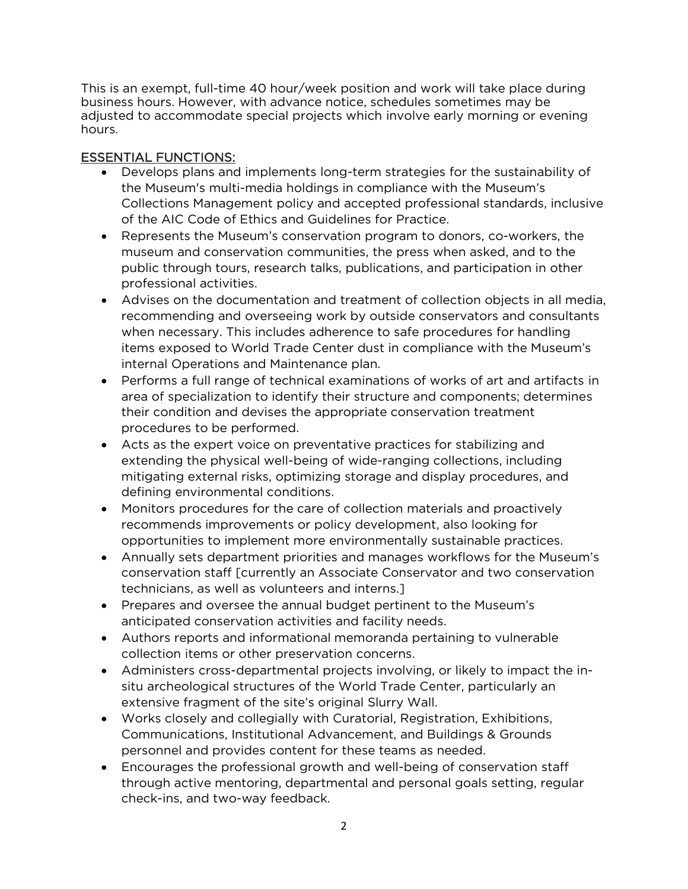This is an exempt, full-time 40 hour/week position and work will take place during business hours. However, with advance notice, schedules sometimes may be adjusted to accommodate special projects which involve early morning or evening hours.

### ESSENTIAL FUNCTIONS:

- Develops plans and implements long-term strategies for the sustainability of the Museum's multi-media holdings in compliance with the Museum's Collections Management policy and accepted professional standards, inclusive of the AIC Code of Ethics and Guidelines for Practice.
- Represents the Museum's conservation program to donors, co-workers, the museum and conservation communities, the press when asked, and to the public through tours, research talks, publications, and participation in other professional activities.
- Advises on the documentation and treatment of collection objects in all media, recommending and overseeing work by outside conservators and consultants when necessary. This includes adherence to safe procedures for handling items exposed to World Trade Center dust in compliance with the Museum's internal Operations and Maintenance plan.
- Performs a full range of technical examinations of works of art and artifacts in area of specialization to identify their structure and components; determines their condition and devises the appropriate conservation treatment procedures to be performed.
- Acts as the expert voice on preventative practices for stabilizing and extending the physical well-being of wide-ranging collections, including mitigating external risks, optimizing storage and display procedures, and defining environmental conditions.
- Monitors procedures for the care of collection materials and proactively recommends improvements or policy development, also looking for opportunities to implement more environmentally sustainable practices.
- Annually sets department priorities and manages workflows for the Museum's conservation staff [currently an Associate Conservator and two conservation technicians, as well as volunteers and interns.]
- Prepares and oversee the annual budget pertinent to the Museum's anticipated conservation activities and facility needs.
- Authors reports and informational memoranda pertaining to vulnerable collection items or other preservation concerns.
- Administers cross-departmental projects involving, or likely to impact the insitu archeological structures of the World Trade Center, particularly an extensive fragment of the site's original Slurry Wall.
- Works closely and collegially with Curatorial, Registration, Exhibitions, Communications, Institutional Advancement, and Buildings & Grounds personnel and provides content for these teams as needed.
- Encourages the professional growth and well-being of conservation staff through active mentoring, departmental and personal goals setting, regular check-ins, and two-way feedback.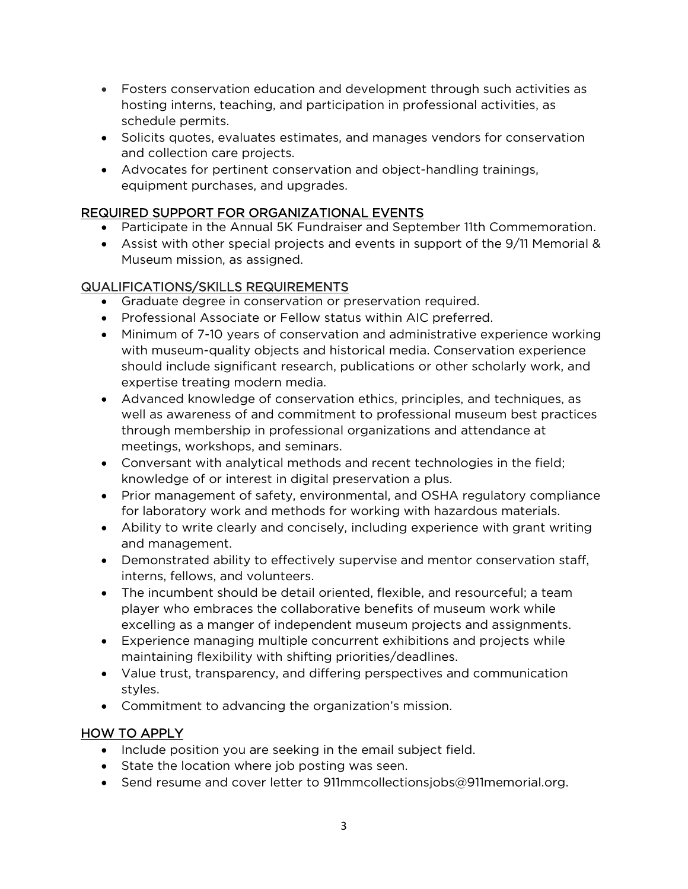- Fosters conservation education and development through such activities as hosting interns, teaching, and participation in professional activities, as schedule permits.
- Solicits quotes, evaluates estimates, and manages vendors for conservation and collection care projects.
- Advocates for pertinent conservation and object-handling trainings, equipment purchases, and upgrades.

## REQUIRED SUPPORT FOR ORGANIZATIONAL EVENTS

- Participate in the Annual 5K Fundraiser and September 11th Commemoration.
- Assist with other special projects and events in support of the 9/11 Memorial & Museum mission, as assigned.

# QUALIFICATIONS/SKILLS REQUIREMENTS

- Graduate degree in conservation or preservation required.
- Professional Associate or Fellow status within AIC preferred.
- Minimum of 7-10 years of conservation and administrative experience working with museum-quality objects and historical media. Conservation experience should include significant research, publications or other scholarly work, and expertise treating modern media.
- Advanced knowledge of conservation ethics, principles, and techniques, as well as awareness of and commitment to professional museum best practices through membership in professional organizations and attendance at meetings, workshops, and seminars.
- Conversant with analytical methods and recent technologies in the field; knowledge of or interest in digital preservation a plus.
- Prior management of safety, environmental, and OSHA regulatory compliance for laboratory work and methods for working with hazardous materials.
- Ability to write clearly and concisely, including experience with grant writing and management.
- Demonstrated ability to effectively supervise and mentor conservation staff, interns, fellows, and volunteers.
- The incumbent should be detail oriented, flexible, and resourceful; a team player who embraces the collaborative benefits of museum work while excelling as a manger of independent museum projects and assignments.
- Experience managing multiple concurrent exhibitions and projects while maintaining flexibility with shifting priorities/deadlines.
- Value trust, transparency, and differing perspectives and communication styles.
- Commitment to advancing the organization's mission.

# HOW TO APPLY

- Include position you are seeking in the email subject field.
- State the location where job posting was seen.
- Send resume and cover letter to 911mmcollectionsjobs@911memorial.org.